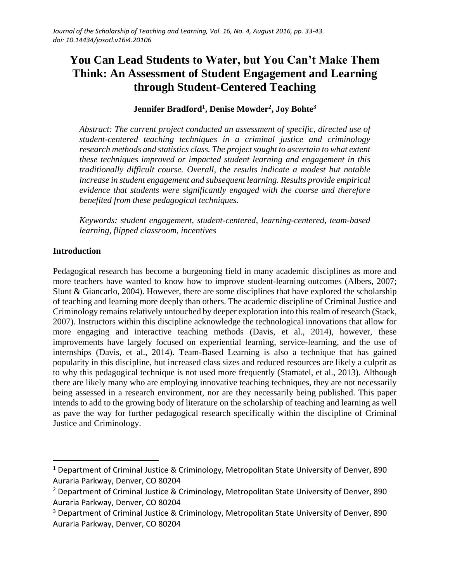# **You Can Lead Students to Water, but You Can't Make Them Think: An Assessment of Student Engagement and Learning through Student-Centered Teaching**

# **Jennifer Bradford<sup>1</sup> , Denise Mowder<sup>2</sup> , Joy Bohte<sup>3</sup>**

*Abstract: The current project conducted an assessment of specific, directed use of student-centered teaching techniques in a criminal justice and criminology research methods and statistics class. The project sought to ascertain to what extent these techniques improved or impacted student learning and engagement in this traditionally difficult course. Overall, the results indicate a modest but notable increase in student engagement and subsequent learning. Results provide empirical evidence that students were significantly engaged with the course and therefore benefited from these pedagogical techniques.*

*Keywords: student engagement, student-centered, learning-centered, team-based learning, flipped classroom, incentives*

# **Introduction**

 $\overline{a}$ 

Pedagogical research has become a burgeoning field in many academic disciplines as more and more teachers have wanted to know how to improve student-learning outcomes (Albers, 2007; Slunt & Giancarlo, 2004). However, there are some disciplines that have explored the scholarship of teaching and learning more deeply than others. The academic discipline of Criminal Justice and Criminology remains relatively untouched by deeper exploration into this realm of research (Stack, 2007). Instructors within this discipline acknowledge the technological innovations that allow for more engaging and interactive teaching methods (Davis, et al., 2014), however, these improvements have largely focused on experiential learning, service-learning, and the use of internships (Davis, et al., 2014). Team-Based Learning is also a technique that has gained popularity in this discipline, but increased class sizes and reduced resources are likely a culprit as to why this pedagogical technique is not used more frequently (Stamatel, et al., 2013). Although there are likely many who are employing innovative teaching techniques, they are not necessarily being assessed in a research environment, nor are they necessarily being published. This paper intends to add to the growing body of literature on the scholarship of teaching and learning as well as pave the way for further pedagogical research specifically within the discipline of Criminal Justice and Criminology.

<sup>&</sup>lt;sup>1</sup> Department of Criminal Justice & Criminology, Metropolitan State University of Denver, 890 Auraria Parkway, Denver, CO 80204

<sup>&</sup>lt;sup>2</sup> Department of Criminal Justice & Criminology, Metropolitan State University of Denver, 890 Auraria Parkway, Denver, CO 80204

<sup>&</sup>lt;sup>3</sup> Department of Criminal Justice & Criminology, Metropolitan State University of Denver, 890 Auraria Parkway, Denver, CO 80204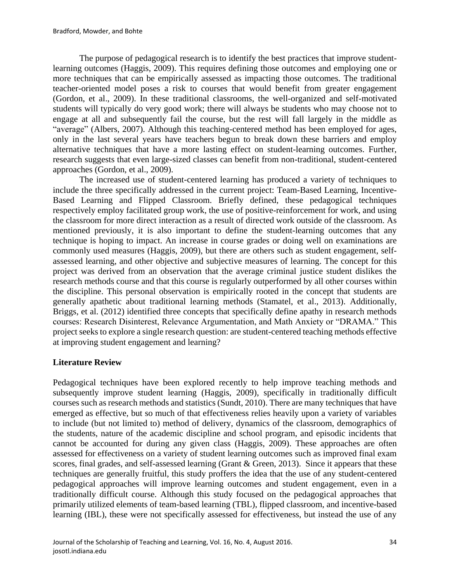The purpose of pedagogical research is to identify the best practices that improve studentlearning outcomes (Haggis, 2009). This requires defining those outcomes and employing one or more techniques that can be empirically assessed as impacting those outcomes. The traditional teacher-oriented model poses a risk to courses that would benefit from greater engagement (Gordon, et al., 2009). In these traditional classrooms, the well-organized and self-motivated students will typically do very good work; there will always be students who may choose not to engage at all and subsequently fail the course, but the rest will fall largely in the middle as "average" (Albers, 2007). Although this teaching-centered method has been employed for ages, only in the last several years have teachers begun to break down these barriers and employ alternative techniques that have a more lasting effect on student-learning outcomes. Further, research suggests that even large-sized classes can benefit from non-traditional, student-centered approaches (Gordon, et al., 2009).

The increased use of student-centered learning has produced a variety of techniques to include the three specifically addressed in the current project: Team-Based Learning, Incentive-Based Learning and Flipped Classroom. Briefly defined, these pedagogical techniques respectively employ facilitated group work, the use of positive-reinforcement for work, and using the classroom for more direct interaction as a result of directed work outside of the classroom. As mentioned previously, it is also important to define the student-learning outcomes that any technique is hoping to impact. An increase in course grades or doing well on examinations are commonly used measures (Haggis, 2009), but there are others such as student engagement, selfassessed learning, and other objective and subjective measures of learning. The concept for this project was derived from an observation that the average criminal justice student dislikes the research methods course and that this course is regularly outperformed by all other courses within the discipline. This personal observation is empirically rooted in the concept that students are generally apathetic about traditional learning methods (Stamatel, et al., 2013). Additionally, Briggs, et al. (2012) identified three concepts that specifically define apathy in research methods courses: Research Disinterest, Relevance Argumentation, and Math Anxiety or "DRAMA." This project seeks to explore a single research question: are student-centered teaching methods effective at improving student engagement and learning?

# **Literature Review**

Pedagogical techniques have been explored recently to help improve teaching methods and subsequently improve student learning (Haggis, 2009), specifically in traditionally difficult courses such as research methods and statistics (Sundt, 2010). There are many techniques that have emerged as effective, but so much of that effectiveness relies heavily upon a variety of variables to include (but not limited to) method of delivery, dynamics of the classroom, demographics of the students, nature of the academic discipline and school program, and episodic incidents that cannot be accounted for during any given class (Haggis, 2009). These approaches are often assessed for effectiveness on a variety of student learning outcomes such as improved final exam scores, final grades, and self-assessed learning (Grant & Green, 2013). Since it appears that these techniques are generally fruitful, this study proffers the idea that the use of any student-centered pedagogical approaches will improve learning outcomes and student engagement, even in a traditionally difficult course. Although this study focused on the pedagogical approaches that primarily utilized elements of team-based learning (TBL), flipped classroom, and incentive-based learning (IBL), these were not specifically assessed for effectiveness, but instead the use of any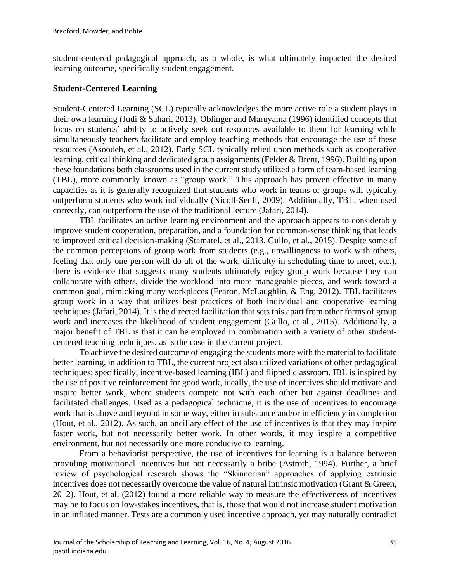student-centered pedagogical approach, as a whole, is what ultimately impacted the desired learning outcome, specifically student engagement.

#### **Student-Centered Learning**

Student-Centered Learning (SCL) typically acknowledges the more active role a student plays in their own learning (Judi & Sahari, 2013). Oblinger and Maruyama (1996) identified concepts that focus on students' ability to actively seek out resources available to them for learning while simultaneously teachers facilitate and employ teaching methods that encourage the use of these resources (Asoodeh, et al., 2012). Early SCL typically relied upon methods such as cooperative learning, critical thinking and dedicated group assignments (Felder & Brent, 1996). Building upon these foundations both classrooms used in the current study utilized a form of team-based learning (TBL), more commonly known as "group work." This approach has proven effective in many capacities as it is generally recognized that students who work in teams or groups will typically outperform students who work individually (Nicoll-Senft, 2009). Additionally, TBL, when used correctly, can outperform the use of the traditional lecture (Jafari, 2014).

TBL facilitates an active learning environment and the approach appears to considerably improve student cooperation, preparation, and a foundation for common-sense thinking that leads to improved critical decision-making (Stamatel, et al., 2013, Gullo, et al., 2015). Despite some of the common perceptions of group work from students (e.g., unwillingness to work with others, feeling that only one person will do all of the work, difficulty in scheduling time to meet, etc.), there is evidence that suggests many students ultimately enjoy group work because they can collaborate with others, divide the workload into more manageable pieces, and work toward a common goal, mimicking many workplaces (Fearon, McLaughlin, & Eng, 2012). TBL facilitates group work in a way that utilizes best practices of both individual and cooperative learning techniques (Jafari, 2014). It is the directed facilitation that sets this apart from other forms of group work and increases the likelihood of student engagement (Gullo, et al., 2015). Additionally, a major benefit of TBL is that it can be employed in combination with a variety of other studentcentered teaching techniques, as is the case in the current project.

To achieve the desired outcome of engaging the students more with the material to facilitate better learning, in addition to TBL, the current project also utilized variations of other pedagogical techniques; specifically, incentive-based learning (IBL) and flipped classroom. IBL is inspired by the use of positive reinforcement for good work, ideally, the use of incentives should motivate and inspire better work, where students compete not with each other but against deadlines and facilitated challenges. Used as a pedagogical technique, it is the use of incentives to encourage work that is above and beyond in some way, either in substance and/or in efficiency in completion (Hout, et al., 2012). As such, an ancillary effect of the use of incentives is that they may inspire faster work, but not necessarily better work. In other words, it may inspire a competitive environment, but not necessarily one more conducive to learning.

From a behaviorist perspective, the use of incentives for learning is a balance between providing motivational incentives but not necessarily a bribe (Astroth, 1994). Further, a brief review of psychological research shows the "Skinnerian" approaches of applying extrinsic incentives does not necessarily overcome the value of natural intrinsic motivation (Grant & Green, 2012). Hout, et al. (2012) found a more reliable way to measure the effectiveness of incentives may be to focus on low-stakes incentives, that is, those that would not increase student motivation in an inflated manner. Tests are a commonly used incentive approach, yet may naturally contradict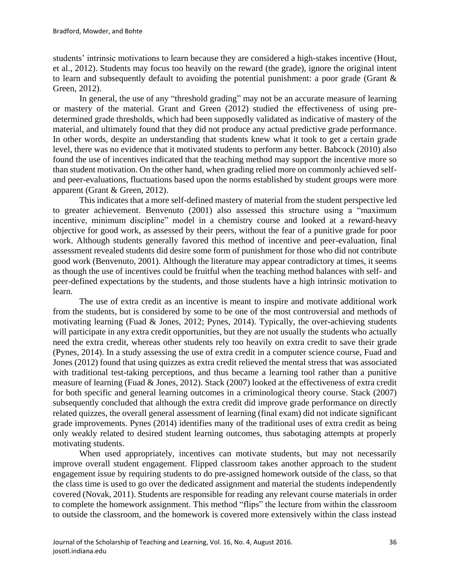students' intrinsic motivations to learn because they are considered a high-stakes incentive (Hout, et al., 2012). Students may focus too heavily on the reward (the grade), ignore the original intent to learn and subsequently default to avoiding the potential punishment: a poor grade (Grant & Green, 2012).

In general, the use of any "threshold grading" may not be an accurate measure of learning or mastery of the material. Grant and Green (2012) studied the effectiveness of using predetermined grade thresholds, which had been supposedly validated as indicative of mastery of the material, and ultimately found that they did not produce any actual predictive grade performance. In other words, despite an understanding that students knew what it took to get a certain grade level, there was no evidence that it motivated students to perform any better. Babcock (2010) also found the use of incentives indicated that the teaching method may support the incentive more so than student motivation. On the other hand, when grading relied more on commonly achieved selfand peer-evaluations, fluctuations based upon the norms established by student groups were more apparent (Grant & Green, 2012).

This indicates that a more self-defined mastery of material from the student perspective led to greater achievement. Benvenuto (2001) also assessed this structure using a "maximum incentive, minimum discipline" model in a chemistry course and looked at a reward-heavy objective for good work, as assessed by their peers, without the fear of a punitive grade for poor work. Although students generally favored this method of incentive and peer-evaluation, final assessment revealed students did desire some form of punishment for those who did not contribute good work (Benvenuto, 2001). Although the literature may appear contradictory at times, it seems as though the use of incentives could be fruitful when the teaching method balances with self- and peer-defined expectations by the students, and those students have a high intrinsic motivation to learn.

The use of extra credit as an incentive is meant to inspire and motivate additional work from the students, but is considered by some to be one of the most controversial and methods of motivating learning (Fuad & Jones, 2012; Pynes, 2014). Typically, the over-achieving students will participate in any extra credit opportunities, but they are not usually the students who actually need the extra credit, whereas other students rely too heavily on extra credit to save their grade (Pynes, 2014). In a study assessing the use of extra credit in a computer science course, Fuad and Jones (2012) found that using quizzes as extra credit relieved the mental stress that was associated with traditional test-taking perceptions, and thus became a learning tool rather than a punitive measure of learning (Fuad & Jones, 2012). Stack (2007) looked at the effectiveness of extra credit for both specific and general learning outcomes in a criminological theory course. Stack (2007) subsequently concluded that although the extra credit did improve grade performance on directly related quizzes, the overall general assessment of learning (final exam) did not indicate significant grade improvements. Pynes (2014) identifies many of the traditional uses of extra credit as being only weakly related to desired student learning outcomes, thus sabotaging attempts at properly motivating students.

When used appropriately, incentives can motivate students, but may not necessarily improve overall student engagement. Flipped classroom takes another approach to the student engagement issue by requiring students to do pre-assigned homework outside of the class, so that the class time is used to go over the dedicated assignment and material the students independently covered (Novak, 2011). Students are responsible for reading any relevant course materials in order to complete the homework assignment. This method "flips" the lecture from within the classroom to outside the classroom, and the homework is covered more extensively within the class instead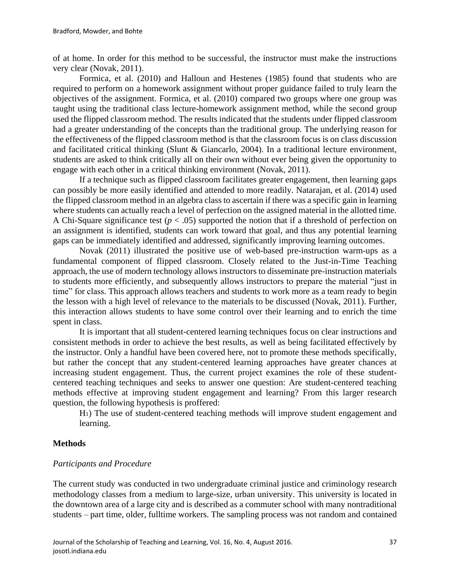of at home. In order for this method to be successful, the instructor must make the instructions very clear (Novak, 2011).

Formica, et al. (2010) and Halloun and Hestenes (1985) found that students who are required to perform on a homework assignment without proper guidance failed to truly learn the objectives of the assignment. Formica, et al. (2010) compared two groups where one group was taught using the traditional class lecture-homework assignment method, while the second group used the flipped classroom method. The results indicated that the students under flipped classroom had a greater understanding of the concepts than the traditional group. The underlying reason for the effectiveness of the flipped classroom method is that the classroom focus is on class discussion and facilitated critical thinking (Slunt & Giancarlo, 2004). In a traditional lecture environment, students are asked to think critically all on their own without ever being given the opportunity to engage with each other in a critical thinking environment (Novak, 2011).

If a technique such as flipped classroom facilitates greater engagement, then learning gaps can possibly be more easily identified and attended to more readily. Natarajan, et al. (2014) used the flipped classroom method in an algebra class to ascertain if there was a specific gain in learning where students can actually reach a level of perfection on the assigned material in the allotted time. A Chi-Square significance test ( $p < .05$ ) supported the notion that if a threshold of perfection on an assignment is identified, students can work toward that goal, and thus any potential learning gaps can be immediately identified and addressed, significantly improving learning outcomes.

Novak (2011) illustrated the positive use of web-based pre-instruction warm-ups as a fundamental component of flipped classroom. Closely related to the Just-in-Time Teaching approach, the use of modern technology allows instructors to disseminate pre-instruction materials to students more efficiently, and subsequently allows instructors to prepare the material "just in time" for class. This approach allows teachers and students to work more as a team ready to begin the lesson with a high level of relevance to the materials to be discussed (Novak, 2011). Further, this interaction allows students to have some control over their learning and to enrich the time spent in class.

It is important that all student-centered learning techniques focus on clear instructions and consistent methods in order to achieve the best results, as well as being facilitated effectively by the instructor. Only a handful have been covered here, not to promote these methods specifically, but rather the concept that any student-centered learning approaches have greater chances at increasing student engagement. Thus, the current project examines the role of these studentcentered teaching techniques and seeks to answer one question: Are student-centered teaching methods effective at improving student engagement and learning? From this larger research question, the following hypothesis is proffered:

H1) The use of student-centered teaching methods will improve student engagement and learning.

#### **Methods**

#### *Participants and Procedure*

The current study was conducted in two undergraduate criminal justice and criminology research methodology classes from a medium to large-size, urban university. This university is located in the downtown area of a large city and is described as a commuter school with many nontraditional students – part time, older, fulltime workers. The sampling process was not random and contained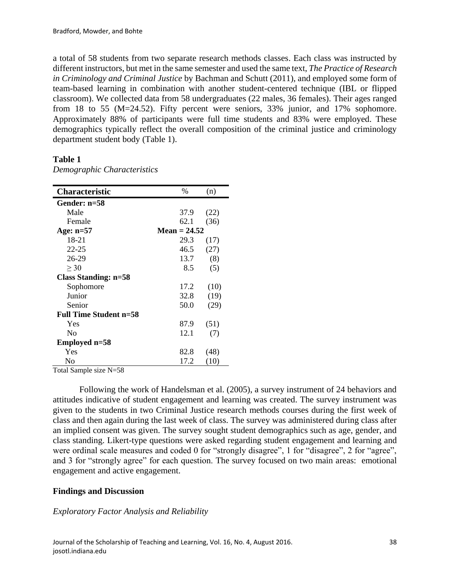a total of 58 students from two separate research methods classes. Each class was instructed by different instructors, but met in the same semester and used the same text, *The Practice of Research in Criminology and Criminal Justice* by Bachman and Schutt (2011), and employed some form of team-based learning in combination with another student-centered technique (IBL or flipped classroom). We collected data from 58 undergraduates (22 males, 36 females). Their ages ranged from 18 to 55 (M=24.52). Fifty percent were seniors, 33% junior, and 17% sophomore. Approximately 88% of participants were full time students and 83% were employed. These demographics typically reflect the overall composition of the criminal justice and criminology department student body (Table 1).

## **Table 1**

| <b>Characteristic</b>         | $\%$           | (n)  |  |  |  |
|-------------------------------|----------------|------|--|--|--|
| Gender: n=58                  |                |      |  |  |  |
| Male                          | 37.9           | (22) |  |  |  |
| Female                        | 62.1           | (36) |  |  |  |
| Age: $n=57$                   | Mean = $24.52$ |      |  |  |  |
| 18-21                         | 29.3           | (17) |  |  |  |
| 22-25                         | 46.5           | (27) |  |  |  |
| 26-29                         | 13.7           | (8)  |  |  |  |
| >30                           | 8.5            | (5)  |  |  |  |
| <b>Class Standing: n=58</b>   |                |      |  |  |  |
| Sophomore                     | 17.2           | (10) |  |  |  |
| Junior                        | 32.8           | (19) |  |  |  |
| Senior                        | 50.0           | (29) |  |  |  |
| <b>Full Time Student n=58</b> |                |      |  |  |  |
| Yes                           | 87.9           | (51) |  |  |  |
| N <sub>0</sub>                | 12.1           | (7)  |  |  |  |
| Employed n=58                 |                |      |  |  |  |
| Yes                           | 82.8           | (48) |  |  |  |
| No                            | 17.2           | (10) |  |  |  |

*Demographic Characteristics*

Total Sample size N=58

Following the work of Handelsman et al. (2005), a survey instrument of 24 behaviors and attitudes indicative of student engagement and learning was created. The survey instrument was given to the students in two Criminal Justice research methods courses during the first week of class and then again during the last week of class. The survey was administered during class after an implied consent was given. The survey sought student demographics such as age, gender, and class standing. Likert-type questions were asked regarding student engagement and learning and were ordinal scale measures and coded 0 for "strongly disagree", 1 for "disagree", 2 for "agree", and 3 for "strongly agree" for each question. The survey focused on two main areas: emotional engagement and active engagement.

# **Findings and Discussion**

# *Exploratory Factor Analysis and Reliability*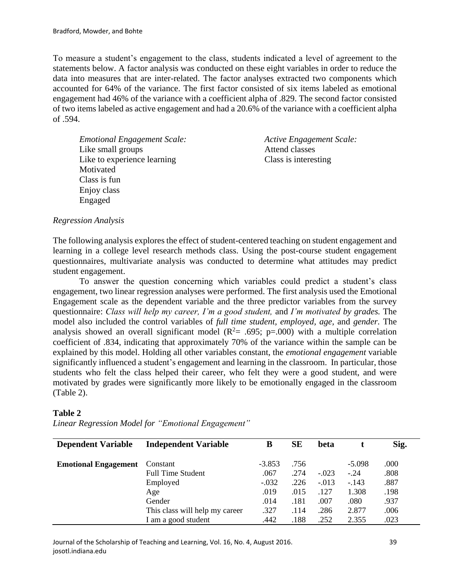To measure a student's engagement to the class, students indicated a level of agreement to the statements below. A factor analysis was conducted on these eight variables in order to reduce the data into measures that are inter-related. The factor analyses extracted two components which accounted for 64% of the variance. The first factor consisted of six items labeled as emotional engagement had 46% of the variance with a coefficient alpha of .829. The second factor consisted of two items labeled as active engagement and had a 20.6% of the variance with a coefficient alpha of .594.

*Emotional Engagement Scale: Active Engagement Scale:* Like small groups **Attend classes** Like to experience learning Class is interesting **Motivated** Class is fun Enjoy class Engaged

## *Regression Analysis*

The following analysis explores the effect of student-centered teaching on student engagement and learning in a college level research methods class. Using the post-course student engagement questionnaires, multivariate analysis was conducted to determine what attitudes may predict student engagement.

To answer the question concerning which variables could predict a student's class engagement, two linear regression analyses were performed. The first analysis used the Emotional Engagement scale as the dependent variable and the three predictor variables from the survey questionnaire: *Class will help my career, I'm a good student,* and *I'm motivated by grades.* The model also included the control variables of *full time student, employed, age,* and *gender.* The analysis showed an overall significant model ( $R^2$ = .695; p=.000) with a multiple correlation coefficient of .834, indicating that approximately 70% of the variance within the sample can be explained by this model. Holding all other variables constant, the *emotional engagement* variable significantly influenced a student's engagement and learning in the classroom. In particular, those students who felt the class helped their career, who felt they were a good student, and were motivated by grades were significantly more likely to be emotionally engaged in the classroom (Table 2).

#### **Table 2**

*Linear Regression Model for "Emotional Engagement"*

| <b>Dependent Variable</b>   | <b>Independent Variable</b>    | B        | <b>SE</b> | <b>beta</b> |          | Sig. |
|-----------------------------|--------------------------------|----------|-----------|-------------|----------|------|
| <b>Emotional Engagement</b> | Constant                       | $-3.853$ | .756      |             | $-5.098$ | .000 |
|                             | <b>Full Time Student</b>       | .067     | .274      | $-.023$     | $-.24$   | .808 |
|                             | Employed                       | $-.032$  | .226      | $-.013$     | $-.143$  | .887 |
|                             | Age                            | .019     | .015      | .127        | 1.308    | .198 |
|                             | Gender                         | .014     | .181      | .007        | .080     | .937 |
|                             | This class will help my career | .327     | .114      | .286        | 2.877    | .006 |
|                             | I am a good student            | .442     | .188      | .252        | 2.355    | .023 |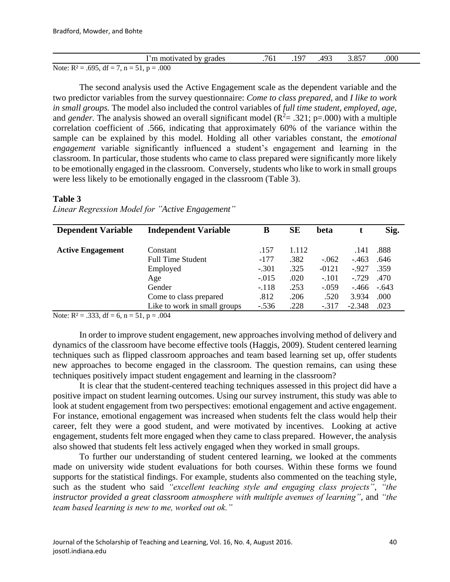| m motivated by grades                                 | 761 | 97ء | 493 | 3.857 | .000 |  |
|-------------------------------------------------------|-----|-----|-----|-------|------|--|
| Note: $R^2 = .695$ , $df = 7$ , $n = 51$ , $p = .000$ |     |     |     |       |      |  |

The second analysis used the Active Engagement scale as the dependent variable and the two predictor variables from the survey questionnaire: *Come to class prepared,* and *I like to work in small groups.* The model also included the control variables of *full time student, employed, age,*  and *gender*. The analysis showed an overall significant model ( $R^2 = .321$ ;  $p = .000$ ) with a multiple correlation coefficient of .566, indicating that approximately 60% of the variance within the sample can be explained by this model. Holding all other variables constant, the *emotional engagement* variable significantly influenced a student's engagement and learning in the classroom. In particular, those students who came to class prepared were significantly more likely to be emotionally engaged in the classroom. Conversely, students who like to work in small groups were less likely to be emotionally engaged in the classroom (Table 3).

#### **Table 3**

| <b>Dependent Variable</b> | <b>Independent Variable</b>  | B       | <b>SE</b> | beta    |          | Sig.    |
|---------------------------|------------------------------|---------|-----------|---------|----------|---------|
| <b>Active Engagement</b>  | Constant                     | .157    | 1.112     |         | .141     | .888    |
|                           | <b>Full Time Student</b>     | $-177$  | .382      | $-.062$ | $-463$   | .646    |
|                           | Employed                     | $-.301$ | .325      | $-0121$ | $-927$   | .359    |
|                           | Age                          | $-.015$ | .020      | $-.101$ | $-729$   | .470    |
|                           | Gender                       | $-.118$ | .253      | $-.059$ | -.466    | $-.643$ |
|                           | Come to class prepared       | .812    | .206      | .520    | 3.934    | .000    |
|                           | Like to work in small groups | $-.536$ | .228      | $-.317$ | $-2.348$ | .023    |

*Linear Regression Model for "Active Engagement"*

Note:  $R^2 = .333$ , df = 6, n = 51, p = .004

In order to improve student engagement, new approaches involving method of delivery and dynamics of the classroom have become effective tools (Haggis, 2009). Student centered learning techniques such as flipped classroom approaches and team based learning set up, offer students new approaches to become engaged in the classroom. The question remains, can using these techniques positively impact student engagement and learning in the classroom?

It is clear that the student-centered teaching techniques assessed in this project did have a positive impact on student learning outcomes. Using our survey instrument, this study was able to look at student engagement from two perspectives: emotional engagement and active engagement. For instance, emotional engagement was increased when students felt the class would help their career, felt they were a good student, and were motivated by incentives. Looking at active engagement, students felt more engaged when they came to class prepared. However, the analysis also showed that students felt less actively engaged when they worked in small groups.

To further our understanding of student centered learning, we looked at the comments made on university wide student evaluations for both courses. Within these forms we found supports for the statistical findings. For example, students also commented on the teaching style, such as the student who said *"excellent teaching style and engaging class projects", "the instructor provided a great classroom atmosphere with multiple avenues of learning"*, and "*the team based learning is new to me, worked out ok."*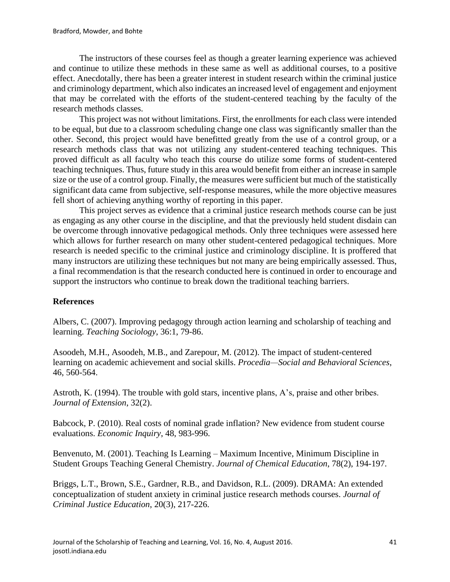The instructors of these courses feel as though a greater learning experience was achieved and continue to utilize these methods in these same as well as additional courses, to a positive effect. Anecdotally, there has been a greater interest in student research within the criminal justice and criminology department, which also indicates an increased level of engagement and enjoyment that may be correlated with the efforts of the student-centered teaching by the faculty of the research methods classes.

This project was not without limitations. First, the enrollments for each class were intended to be equal, but due to a classroom scheduling change one class was significantly smaller than the other. Second, this project would have benefitted greatly from the use of a control group, or a research methods class that was not utilizing any student-centered teaching techniques. This proved difficult as all faculty who teach this course do utilize some forms of student-centered teaching techniques. Thus, future study in this area would benefit from either an increase in sample size or the use of a control group. Finally, the measures were sufficient but much of the statistically significant data came from subjective, self-response measures, while the more objective measures fell short of achieving anything worthy of reporting in this paper.

This project serves as evidence that a criminal justice research methods course can be just as engaging as any other course in the discipline, and that the previously held student disdain can be overcome through innovative pedagogical methods. Only three techniques were assessed here which allows for further research on many other student-centered pedagogical techniques. More research is needed specific to the criminal justice and criminology discipline. It is proffered that many instructors are utilizing these techniques but not many are being empirically assessed. Thus, a final recommendation is that the research conducted here is continued in order to encourage and support the instructors who continue to break down the traditional teaching barriers.

# **References**

Albers, C. (2007). Improving pedagogy through action learning and scholarship of teaching and learning. *Teaching Sociology*, 36:1, 79-86.

Asoodeh, M.H., Asoodeh, M.B., and Zarepour, M. (2012). The impact of student-centered learning on academic achievement and social skills. *Procedia—Social and Behavioral Sciences*, 46, 560-564.

Astroth, K. (1994). The trouble with gold stars, incentive plans, A's, praise and other bribes. *Journal of Extension*, 32(2).

Babcock, P. (2010). Real costs of nominal grade inflation? New evidence from student course evaluations. *Economic Inquiry*, 48, 983-996.

Benvenuto, M. (2001). Teaching Is Learning – Maximum Incentive, Minimum Discipline in Student Groups Teaching General Chemistry. *Journal of Chemical Education*, 78(2), 194-197.

Briggs, L.T., Brown, S.E., Gardner, R.B., and Davidson, R.L. (2009). DRAMA: An extended conceptualization of student anxiety in criminal justice research methods courses. *Journal of Criminal Justice Education*, 20(3), 217-226.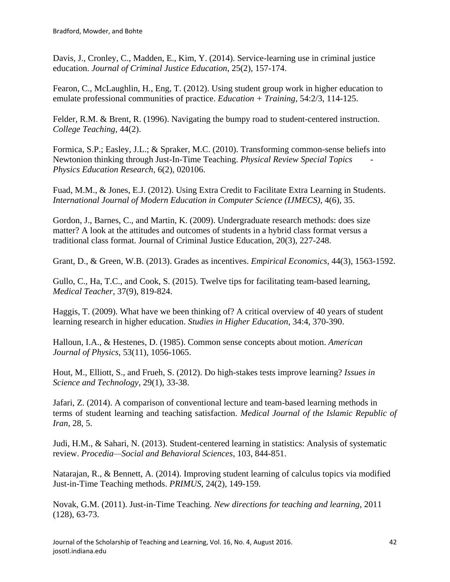Davis, J., Cronley, C., Madden, E., Kim, Y. (2014). Service-learning use in criminal justice education. *Journal of Criminal Justice Education*, 25(2), 157-174.

Fearon, C., McLaughlin, H., Eng, T. (2012). Using student group work in higher education to emulate professional communities of practice. *Education + Training*, 54:2/3, 114-125.

Felder, R.M. & Brent, R. (1996). Navigating the bumpy road to student-centered instruction. *College Teaching*, 44(2).

Formica, S.P.; Easley, J.L.; & Spraker, M.C. (2010). Transforming common-sense beliefs into Newtonion thinking through Just-In-Time Teaching. *Physical Review Special Topics - Physics Education Research*, 6(2), 020106.

Fuad, M.M., & Jones, E.J. (2012). Using Extra Credit to Facilitate Extra Learning in Students. *International Journal of Modern Education in Computer Science (IJMECS)*, 4(6), 35.

Gordon, J., Barnes, C., and Martin, K. (2009). Undergraduate research methods: does size matter? A look at the attitudes and outcomes of students in a hybrid class format versus a traditional class format. Journal of Criminal Justice Education, 20(3), 227-248.

Grant, D., & Green, W.B. (2013). Grades as incentives. *Empirical Economics*, 44(3), 1563-1592.

Gullo, C., Ha, T.C., and Cook, S. (2015). Twelve tips for facilitating team-based learning, *Medical Teacher*, 37(9), 819-824.

Haggis, T. (2009). What have we been thinking of? A critical overview of 40 years of student learning research in higher education. *Studies in Higher Education*, 34:4, 370-390.

Halloun, I.A., & Hestenes, D. (1985). Common sense concepts about motion. *American Journal of Physics*, 53(11), 1056-1065.

Hout, M., Elliott, S., and Frueh, S. (2012). Do high-stakes tests improve learning? *Issues in Science and Technology*, 29(1), 33-38.

Jafari, Z. (2014). A comparison of conventional lecture and team-based learning methods in terms of student learning and teaching satisfaction. *Medical Journal of the Islamic Republic of Iran*, 28, 5.

Judi, H.M., & Sahari, N. (2013). Student-centered learning in statistics: Analysis of systematic review. *Procedia—Social and Behavioral Sciences*, 103, 844-851.

Natarajan, R., & Bennett, A. (2014). Improving student learning of calculus topics via modified Just-in-Time Teaching methods. *PRIMUS*, 24(2), 149-159.

Novak, G.M. (2011). Just-in-Time Teaching. *New directions for teaching and learning*, 2011 (128), 63-73.